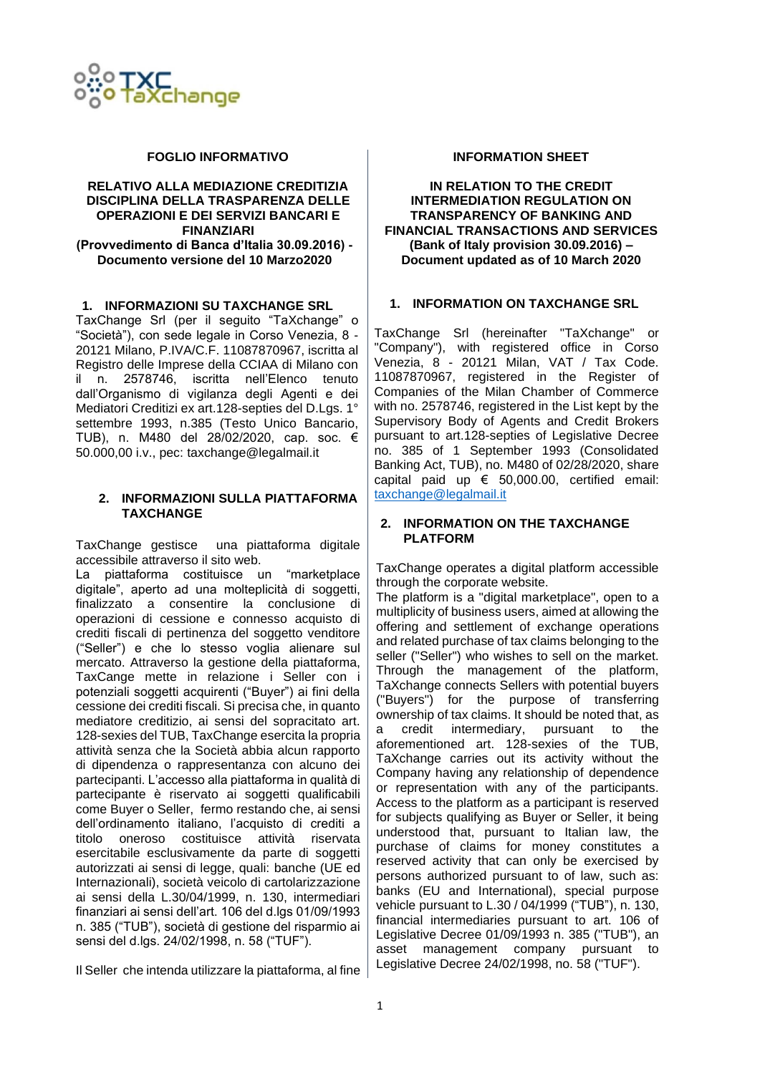

#### **FOGLIO INFORMATIVO**

#### **RELATIVO ALLA MEDIAZIONE CREDITIZIA DISCIPLINA DELLA TRASPARENZA DELLE OPERAZIONI E DEI SERVIZI BANCARI E FINANZIARI (Provvedimento di Banca d'Italia 30.09.2016) - Documento versione del 10 Marzo2020**

## **1. INFORMAZIONI SU TAXCHANGE SRL**

TaxChange Srl (per il seguito "TaXchange" o "Società"), con sede legale in Corso Venezia, 8 - 20121 Milano, P.IVA/C.F. 11087870967, iscritta al Registro delle Imprese della CCIAA di Milano con il n. 2578746, iscritta nell'Elenco tenuto dall'Organismo di vigilanza degli Agenti e dei Mediatori Creditizi ex art.128-septies del D.Lgs. 1° settembre 1993, n.385 (Testo Unico Bancario, TUB), n. M480 del 28/02/2020, cap. soc. € 50.000,00 i.v., pec: [taxchange@legalmail.it](mailto:taxchange@legalmail.it)

#### **2. INFORMAZIONI SULLA PIATTAFORMA TAXCHANGE**

TaxChange gestisce una piattaforma digitale accessibile attraverso il sito web.

La piattaforma costituisce un "marketplace digitale", aperto ad una molteplicità di soggetti, finalizzato a consentire la conclusione di operazioni di cessione e connesso acquisto di crediti fiscali di pertinenza del soggetto venditore ("Seller") e che lo stesso voglia alienare sul mercato. Attraverso la gestione della piattaforma, TaxCange mette in relazione i Seller con i potenziali soggetti acquirenti ("Buyer") ai fini della cessione dei crediti fiscali. Si precisa che, in quanto mediatore creditizio, ai sensi del sopracitato art. 128-sexies del TUB, TaxChange esercita la propria attività senza che la Società abbia alcun rapporto di dipendenza o rappresentanza con alcuno dei partecipanti. L'accesso alla piattaforma in qualità di partecipante è riservato ai soggetti qualificabili come Buyer o Seller, fermo restando che, ai sensi dell'ordinamento italiano, l'acquisto di crediti a titolo oneroso costituisce attività riservata esercitabile esclusivamente da parte di soggetti autorizzati ai sensi di legge, quali: banche (UE ed Internazionali), società veicolo di cartolarizzazione ai sensi della L.30/04/1999, n. 130, intermediari finanziari ai sensi dell'art. 106 del d.lgs 01/09/1993 n. 385 ("TUB"), società di gestione del risparmio ai sensi del d.lgs. 24/02/1998, n. 58 ("TUF").

Il Seller che intenda utilizzare la piattaforma, al fine

#### **INFORMATION SHEET**

#### **IN RELATION TO THE CREDIT INTERMEDIATION REGULATION ON TRANSPARENCY OF BANKING AND FINANCIAL TRANSACTIONS AND SERVICES (Bank of Italy provision 30.09.2016) – Document updated as of 10 March 2020**

#### **1. INFORMATION ON TAXCHANGE SRL**

TaxChange Srl (hereinafter "TaXchange" or "Company"), with registered office in Corso Venezia, 8 - 20121 Milan, VAT / Tax Code. 11087870967, registered in the Register of Companies of the Milan Chamber of Commerce with no. 2578746, registered in the List kept by the Supervisory Body of Agents and Credit Brokers pursuant to art.128-septies of Legislative Decree no. 385 of 1 September 1993 (Consolidated Banking Act, TUB), no. M480 of 02/28/2020, share capital paid up  $\epsilon$  50,000,00, certified email: [taxchange@legalmail.it](mailto:taxchange@legalmail.it)

## **2. INFORMATION ON THE TAXCHANGE PLATFORM**

TaxChange operates a digital platform accessible through the corporate website.

The platform is a "digital marketplace", open to a multiplicity of business users, aimed at allowing the offering and settlement of exchange operations and related purchase of tax claims belonging to the seller ("Seller") who wishes to sell on the market. Through the management of the platform, TaXchange connects Sellers with potential buyers ("Buyers") for the purpose of transferring ownership of tax claims. It should be noted that, as a credit intermediary, pursuant to the aforementioned art. 128-sexies of the TUB, TaXchange carries out its activity without the Company having any relationship of dependence or representation with any of the participants. Access to the platform as a participant is reserved for subjects qualifying as Buyer or Seller, it being understood that, pursuant to Italian law, the purchase of claims for money constitutes a reserved activity that can only be exercised by persons authorized pursuant to of law, such as: banks (EU and International), special purpose vehicle pursuant to L.30 / 04/1999 ("TUB"), n. 130, financial intermediaries pursuant to art. 106 of Legislative Decree 01/09/1993 n. 385 ("TUB"), an asset management company pursuant to Legislative Decree 24/02/1998, no. 58 ("TUF").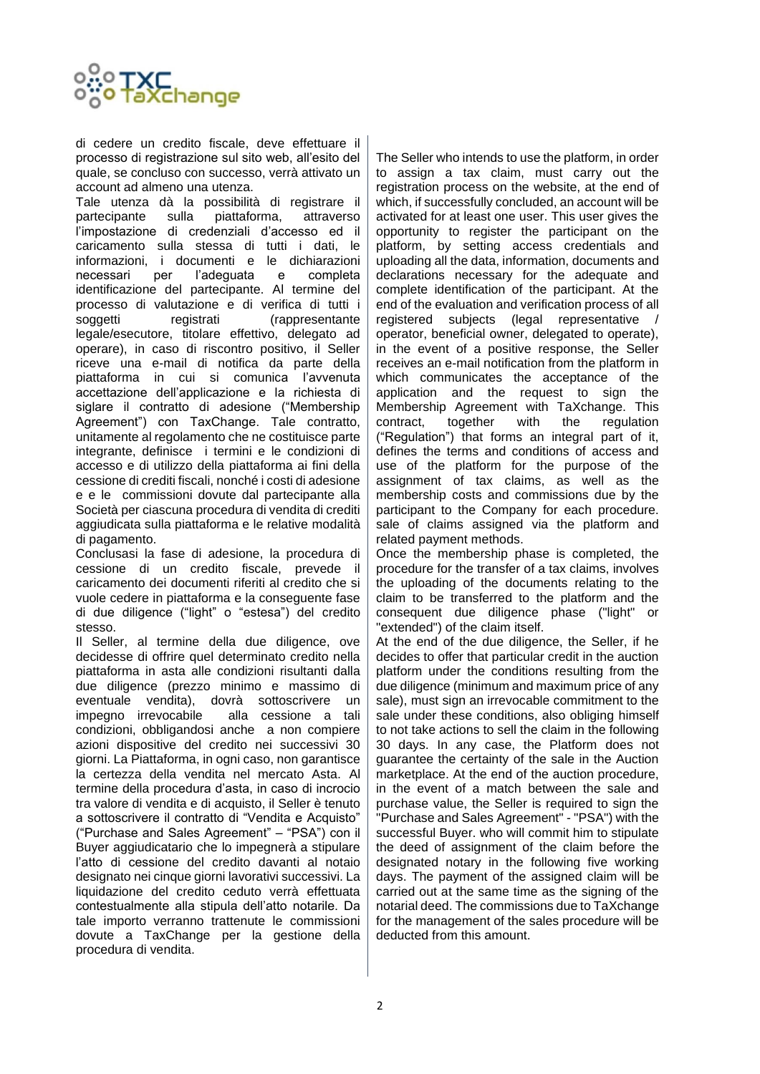

di cedere un credito fiscale, deve effettuare il processo di registrazione sul sito web, all'esito del quale, se concluso con successo, verrà attivato un account ad almeno una utenza.

Tale utenza dà la possibilità di registrare il partecipante sulla piattaforma, attraverso l'impostazione di credenziali d'accesso ed il caricamento sulla stessa di tutti i dati, le informazioni, i documenti e le dichiarazioni necessari per l'adeguata e completa identificazione del partecipante. Al termine del processo di valutazione e di verifica di tutti i soggetti registrati (rappresentante legale/esecutore, titolare effettivo, delegato ad operare), in caso di riscontro positivo, il Seller riceve una e-mail di notifica da parte della piattaforma in cui si comunica l'avvenuta accettazione dell'applicazione e la richiesta di siglare il contratto di adesione ("Membership Agreement") con TaxChange. Tale contratto, unitamente al regolamento che ne costituisce parte integrante, definisce i termini e le condizioni di accesso e di utilizzo della piattaforma ai fini della cessione di crediti fiscali, nonché i costi di adesione e e le commissioni dovute dal partecipante alla Società per ciascuna procedura di vendita di crediti aggiudicata sulla piattaforma e le relative modalità di pagamento.

Conclusasi la fase di adesione, la procedura di cessione di un credito fiscale, prevede il caricamento dei documenti riferiti al credito che si vuole cedere in piattaforma e la conseguente fase di due diligence ("light" o "estesa") del credito stesso.

Il Seller, al termine della due diligence, ove decidesse di offrire quel determinato credito nella piattaforma in asta alle condizioni risultanti dalla due diligence (prezzo minimo e massimo di eventuale vendita), dovrà sottoscrivere un impegno irrevocabile alla cessione a tali condizioni, obbligandosi anche a non compiere azioni dispositive del credito nei successivi 30 giorni. La Piattaforma, in ogni caso, non garantisce la certezza della vendita nel mercato Asta. Al termine della procedura d'asta, in caso di incrocio tra valore di vendita e di acquisto, il Seller è tenuto a sottoscrivere il contratto di "Vendita e Acquisto" ("Purchase and Sales Agreement" – "PSA") con il Buyer aggiudicatario che lo impegnerà a stipulare l'atto di cessione del credito davanti al notaio designato nei cinque giorni lavorativi successivi. La liquidazione del credito ceduto verrà effettuata contestualmente alla stipula dell'atto notarile. Da tale importo verranno trattenute le commissioni dovute a TaxChange per la gestione della procedura di vendita.

The Seller who intends to use the platform, in order to assign a tax claim, must carry out the registration process on the website, at the end of which, if successfully concluded, an account will be activated for at least one user. This user gives the opportunity to register the participant on the platform, by setting access credentials and uploading all the data, information, documents and declarations necessary for the adequate and complete identification of the participant. At the end of the evaluation and verification process of all registered subjects (legal representative operator, beneficial owner, delegated to operate), in the event of a positive response, the Seller receives an e-mail notification from the platform in which communicates the acceptance of the application and the request to sign the Membership Agreement with TaXchange. This contract, together with the regulation ("Regulation") that forms an integral part of it, defines the terms and conditions of access and use of the platform for the purpose of the assignment of tax claims, as well as the membership costs and commissions due by the participant to the Company for each procedure. sale of claims assigned via the platform and related payment methods.

Once the membership phase is completed, the procedure for the transfer of a tax claims, involves the uploading of the documents relating to the claim to be transferred to the platform and the consequent due diligence phase ("light" or "extended") of the claim itself.

At the end of the due diligence, the Seller, if he decides to offer that particular credit in the auction platform under the conditions resulting from the due diligence (minimum and maximum price of any sale), must sign an irrevocable commitment to the sale under these conditions, also obliging himself to not take actions to sell the claim in the following 30 days. In any case, the Platform does not guarantee the certainty of the sale in the Auction marketplace. At the end of the auction procedure, in the event of a match between the sale and purchase value, the Seller is required to sign the "Purchase and Sales Agreement" - "PSA") with the successful Buyer. who will commit him to stipulate the deed of assignment of the claim before the designated notary in the following five working days. The payment of the assigned claim will be carried out at the same time as the signing of the notarial deed. The commissions due to TaXchange for the management of the sales procedure will be deducted from this amount.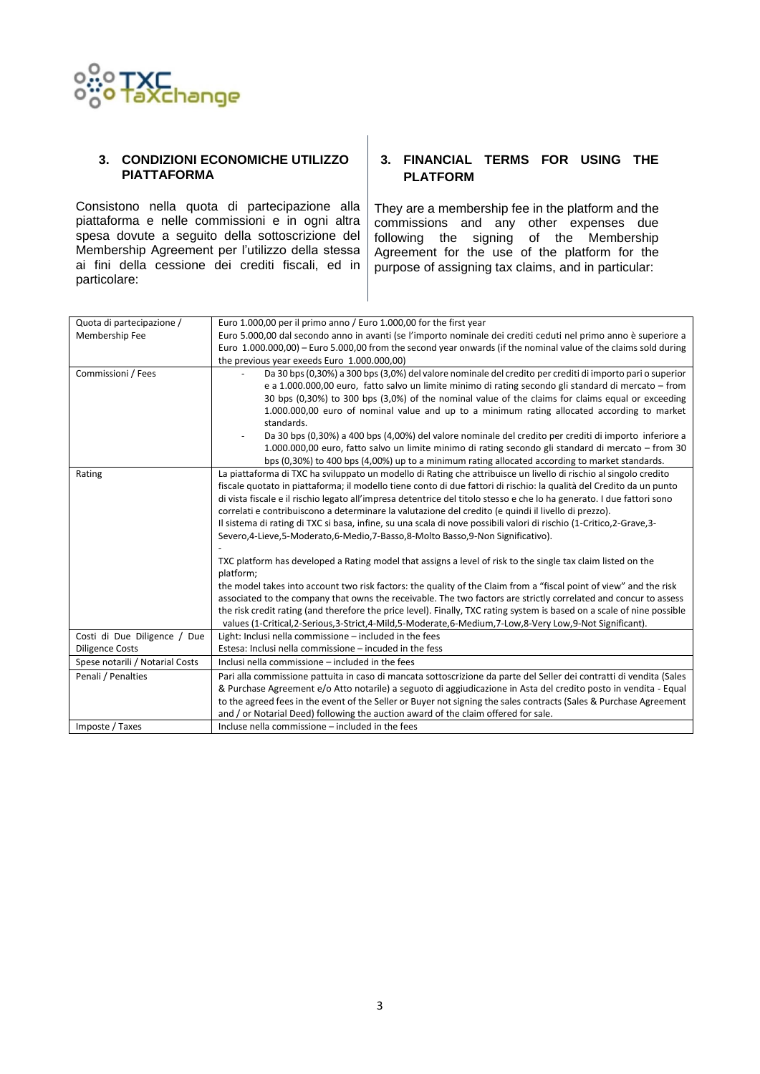

#### **3. CONDIZIONI ECONOMICHE UTILIZZO PIATTAFORMA**

Consistono nella quota di partecipazione alla piattaforma e nelle commissioni e in ogni altra spesa dovute a seguito della sottoscrizione del Membership Agreement per l'utilizzo della stessa ai fini della cessione dei crediti fiscali, ed in particolare:

## **3. FINANCIAL TERMS FOR USING THE PLATFORM**

They are a membership fee in the platform and the commissions and any other expenses due following the signing of the Membership Agreement for the use of the platform for the purpose of assigning tax claims, and in particular:

| Quota di partecipazione /       | Euro 1.000,00 per il primo anno / Euro 1.000,00 for the first year                                                        |
|---------------------------------|---------------------------------------------------------------------------------------------------------------------------|
| Membership Fee                  | Euro 5.000,00 dal secondo anno in avanti (se l'importo nominale dei crediti ceduti nel primo anno è superiore a           |
|                                 | Euro 1.000.000,00) – Euro 5.000,00 from the second year onwards (if the nominal value of the claims sold during           |
|                                 | the previous year exeeds Euro 1.000.000,00)                                                                               |
| Commissioni / Fees              | Da 30 bps (0,30%) a 300 bps (3,0%) del valore nominale del credito per crediti di importo pari o superior                 |
|                                 | e a 1.000.000,00 euro, fatto salvo un limite minimo di rating secondo gli standard di mercato - from                      |
|                                 | 30 bps (0,30%) to 300 bps (3,0%) of the nominal value of the claims for claims equal or exceeding                         |
|                                 | 1.000.000,00 euro of nominal value and up to a minimum rating allocated according to market                               |
|                                 | standards.                                                                                                                |
|                                 | Da 30 bps (0,30%) a 400 bps (4,00%) del valore nominale del credito per crediti di importo inferiore a                    |
|                                 | 1.000.000,00 euro, fatto salvo un limite minimo di rating secondo gli standard di mercato - from 30                       |
|                                 | bps (0,30%) to 400 bps (4,00%) up to a minimum rating allocated according to market standards.                            |
| Rating                          | La piattaforma di TXC ha sviluppato un modello di Rating che attribuisce un livello di rischio al singolo credito         |
|                                 | fiscale quotato in piattaforma; il modello tiene conto di due fattori di rischio: la qualità del Credito da un punto      |
|                                 | di vista fiscale e il rischio legato all'impresa detentrice del titolo stesso e che lo ha generato. I due fattori sono    |
|                                 | correlati e contribuiscono a determinare la valutazione del credito (e quindi il livello di prezzo).                      |
|                                 | Il sistema di rating di TXC si basa, infine, su una scala di nove possibili valori di rischio (1-Critico, 2-Grave, 3-     |
|                                 | Severo, 4-Lieve, 5-Moderato, 6-Medio, 7-Basso, 8-Molto Basso, 9-Non Significativo).                                       |
|                                 |                                                                                                                           |
|                                 | TXC platform has developed a Rating model that assigns a level of risk to the single tax claim listed on the<br>platform; |
|                                 | the model takes into account two risk factors: the quality of the Claim from a "fiscal point of view" and the risk        |
|                                 | associated to the company that owns the receivable. The two factors are strictly correlated and concur to assess          |
|                                 | the risk credit rating (and therefore the price level). Finally, TXC rating system is based on a scale of nine possible   |
|                                 | values (1-Critical,2-Serious,3-Strict,4-Mild,5-Moderate,6-Medium,7-Low,8-Very Low,9-Not Significant).                     |
| Costi di Due Diligence / Due    | Light: Inclusi nella commissione - included in the fees                                                                   |
| <b>Diligence Costs</b>          | Estesa: Inclusi nella commissione - incuded in the fess                                                                   |
| Spese notarili / Notarial Costs | Inclusi nella commissione - included in the fees                                                                          |
| Penali / Penalties              | Pari alla commissione pattuita in caso di mancata sottoscrizione da parte del Seller dei contratti di vendita (Sales      |
|                                 | & Purchase Agreement e/o Atto notarile) a seguoto di aggiudicazione in Asta del credito posto in vendita - Equal          |
|                                 | to the agreed fees in the event of the Seller or Buyer not signing the sales contracts (Sales & Purchase Agreement        |
|                                 | and / or Notarial Deed) following the auction award of the claim offered for sale.                                        |
| Imposte / Taxes                 | Incluse nella commissione – included in the fees                                                                          |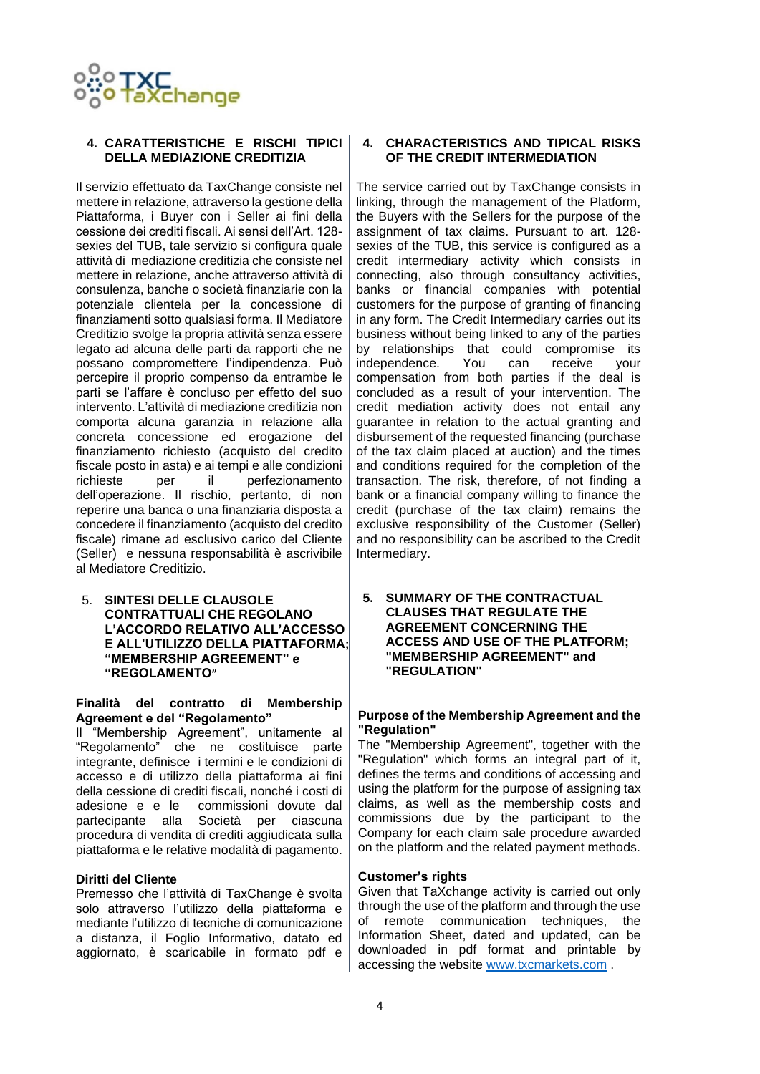

## **4. CARATTERISTICHE E RISCHI TIPICI DELLA MEDIAZIONE CREDITIZIA**

Il servizio effettuato da TaxChange consiste nel mettere in relazione, attraverso la gestione della Piattaforma, i Buyer con i Seller ai fini della cessione dei crediti fiscali. Ai sensi dell'Art. 128 sexies del TUB, tale servizio si configura quale attività di mediazione creditizia che consiste nel mettere in relazione, anche attraverso attività di consulenza, banche o società finanziarie con la potenziale clientela per la concessione di finanziamenti sotto qualsiasi forma. Il Mediatore Creditizio svolge la propria attività senza essere legato ad alcuna delle parti da rapporti che ne possano compromettere l'indipendenza. Può percepire il proprio compenso da entrambe le parti se l'affare è concluso per effetto del suo intervento. L'attività di mediazione creditizia non comporta alcuna garanzia in relazione alla concreta concessione ed erogazione del finanziamento richiesto (acquisto del credito fiscale posto in asta) e ai tempi e alle condizioni richieste per il perfezionamento dell'operazione. Il rischio, pertanto, di non reperire una banca o una finanziaria disposta a concedere il finanziamento (acquisto del credito fiscale) rimane ad esclusivo carico del Cliente (Seller) e nessuna responsabilità è ascrivibile al Mediatore Creditizio.

5. **SINTESI DELLE CLAUSOLE CONTRATTUALI CHE REGOLANO L'ACCORDO RELATIVO ALL'ACCESSO E ALL'UTILIZZO DELLA PIATTAFORMA; "MEMBERSHIP AGREEMENT" e "REGOLAMENTO"**

#### **Finalità del contratto di Membership Agreement e del "Regolamento"**

Il "Membership Agreement", unitamente al "Regolamento" che ne costituisce parte integrante, definisce i termini e le condizioni di accesso e di utilizzo della piattaforma ai fini della cessione di crediti fiscali, nonché i costi di adesione e e le commissioni dovute dal partecipante alla Società per ciascuna procedura di vendita di crediti aggiudicata sulla piattaforma e le relative modalità di pagamento.

#### **Diritti del Cliente**

Premesso che l'attività di TaxChange è svolta solo attraverso l'utilizzo della piattaforma e mediante l'utilizzo di tecniche di comunicazione a distanza, il Foglio Informativo, datato ed aggiornato, è scaricabile in formato pdf e

#### **4. CHARACTERISTICS AND TIPICAL RISKS OF THE CREDIT INTERMEDIATION**

The service carried out by TaxChange consists in linking, through the management of the Platform, the Buyers with the Sellers for the purpose of the assignment of tax claims. Pursuant to art. 128 sexies of the TUB, this service is configured as a credit intermediary activity which consists in connecting, also through consultancy activities, banks or financial companies with potential customers for the purpose of granting of financing in any form. The Credit Intermediary carries out its business without being linked to any of the parties by relationships that could compromise its independence. You can receive your compensation from both parties if the deal is concluded as a result of your intervention. The credit mediation activity does not entail any guarantee in relation to the actual granting and disbursement of the requested financing (purchase of the tax claim placed at auction) and the times and conditions required for the completion of the transaction. The risk, therefore, of not finding a bank or a financial company willing to finance the credit (purchase of the tax claim) remains the exclusive responsibility of the Customer (Seller) and no responsibility can be ascribed to the Credit Intermediary.

**5. SUMMARY OF THE CONTRACTUAL CLAUSES THAT REGULATE THE AGREEMENT CONCERNING THE ACCESS AND USE OF THE PLATFORM; "MEMBERSHIP AGREEMENT" and "REGULATION"**

#### **Purpose of the Membership Agreement and the "Regulation"**

The "Membership Agreement", together with the "Regulation" which forms an integral part of it, defines the terms and conditions of accessing and using the platform for the purpose of assigning tax claims, as well as the membership costs and commissions due by the participant to the Company for each claim sale procedure awarded on the platform and the related payment methods.

#### **Customer's rights**

Given that TaXchange activity is carried out only through the use of the platform and through the use of remote communication techniques, the Information Sheet, dated and updated, can be downloaded in pdf format and printable by accessing the website [www.txcmarkets.com](http://www.txcmarkets.com/) .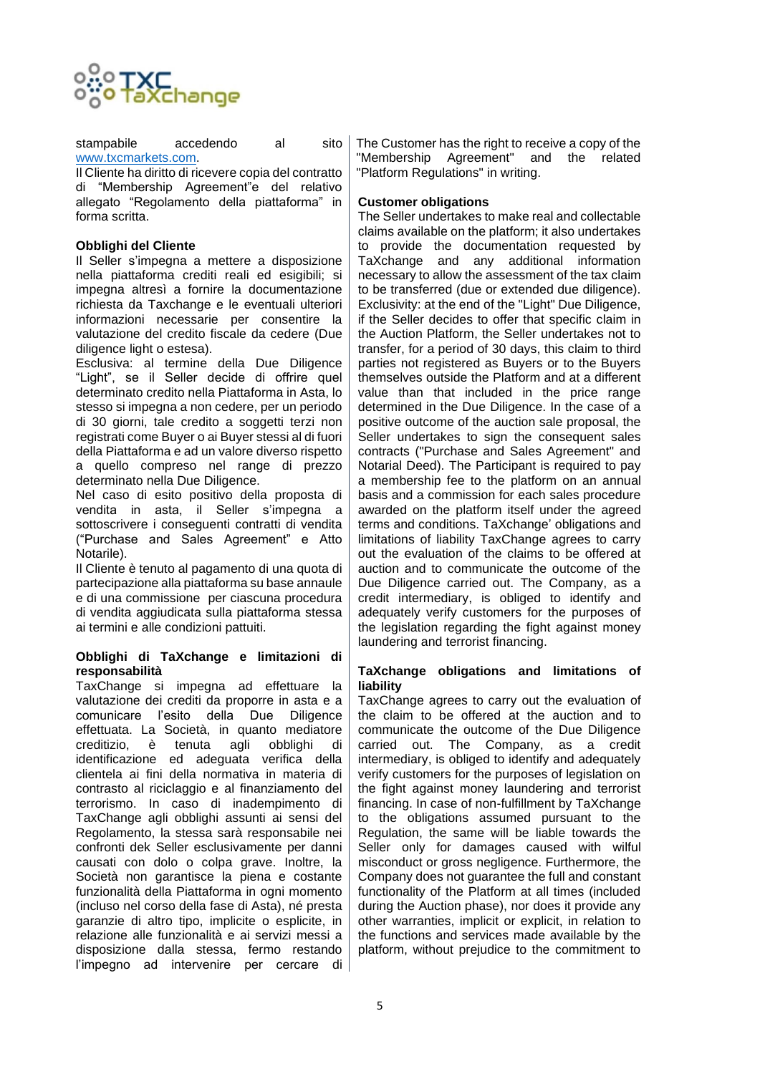

stampabile accedendo al sito [www.txcmarkets.com.](http://www.txcmarkets.com/)

Il Cliente ha diritto di ricevere copia del contratto di "Membership Agreement"e del relativo allegato "Regolamento della piattaforma" in forma scritta.

#### **Obblighi del Cliente**

Il Seller s'impegna a mettere a disposizione nella piattaforma crediti reali ed esigibili; si impegna altresì a fornire la documentazione richiesta da Taxchange e le eventuali ulteriori informazioni necessarie per consentire la valutazione del credito fiscale da cedere (Due diligence light o estesa).

Esclusiva: al termine della Due Diligence "Light", se il Seller decide di offrire quel determinato credito nella Piattaforma in Asta, lo stesso si impegna a non cedere, per un periodo di 30 giorni, tale credito a soggetti terzi non registrati come Buyer o ai Buyer stessi al di fuori della Piattaforma e ad un valore diverso rispetto a quello compreso nel range di prezzo determinato nella Due Diligence.

Nel caso di esito positivo della proposta di vendita in asta, il Seller s'impegna a sottoscrivere i consequenti contratti di vendita ("Purchase and Sales Agreement" e Atto Notarile).

Il Cliente è tenuto al pagamento di una quota di partecipazione alla piattaforma su base annaule e di una commissione per ciascuna procedura di vendita aggiudicata sulla piattaforma stessa ai termini e alle condizioni pattuiti.

#### **Obblighi di TaXchange e limitazioni di responsabilità**

TaxChange si impegna ad effettuare la valutazione dei crediti da proporre in asta e a comunicare l'esito della Due Diligence effettuata. La Società, in quanto mediatore creditizio, è tenuta agli obblighi di identificazione ed adeguata verifica della clientela ai fini della normativa in materia di contrasto al riciclaggio e al finanziamento del terrorismo. In caso di inadempimento di TaxChange agli obblighi assunti ai sensi del Regolamento, la stessa sarà responsabile nei confronti dek Seller esclusivamente per danni causati con dolo o colpa grave. Inoltre, la Società non garantisce la piena e costante funzionalità della Piattaforma in ogni momento (incluso nel corso della fase di Asta), né presta garanzie di altro tipo, implicite o esplicite, in relazione alle funzionalità e ai servizi messi a disposizione dalla stessa, fermo restando l'impegno ad intervenire per cercare di

The Customer has the right to receive a copy of the "Membership Agreement" and the related "Platform Regulations" in writing.

## **Customer obligations**

The Seller undertakes to make real and collectable claims available on the platform; it also undertakes to provide the documentation requested by TaXchange and any additional information necessary to allow the assessment of the tax claim to be transferred (due or extended due diligence). Exclusivity: at the end of the "Light" Due Diligence, if the Seller decides to offer that specific claim in the Auction Platform, the Seller undertakes not to transfer, for a period of 30 days, this claim to third parties not registered as Buyers or to the Buyers themselves outside the Platform and at a different value than that included in the price range determined in the Due Diligence. In the case of a positive outcome of the auction sale proposal, the Seller undertakes to sign the consequent sales contracts ("Purchase and Sales Agreement" and Notarial Deed). The Participant is required to pay a membership fee to the platform on an annual basis and a commission for each sales procedure awarded on the platform itself under the agreed terms and conditions. TaXchange' obligations and limitations of liability TaxChange agrees to carry out the evaluation of the claims to be offered at auction and to communicate the outcome of the Due Diligence carried out. The Company, as a credit intermediary, is obliged to identify and adequately verify customers for the purposes of the legislation regarding the fight against money laundering and terrorist financing.

#### **TaXchange obligations and limitations of liability**

TaxChange agrees to carry out the evaluation of the claim to be offered at the auction and to communicate the outcome of the Due Diligence carried out. The Company, as a credit intermediary, is obliged to identify and adequately verify customers for the purposes of legislation on the fight against money laundering and terrorist financing. In case of non-fulfillment by TaXchange to the obligations assumed pursuant to the Regulation, the same will be liable towards the Seller only for damages caused with wilful misconduct or gross negligence. Furthermore, the Company does not guarantee the full and constant functionality of the Platform at all times (included during the Auction phase), nor does it provide any other warranties, implicit or explicit, in relation to the functions and services made available by the platform, without prejudice to the commitment to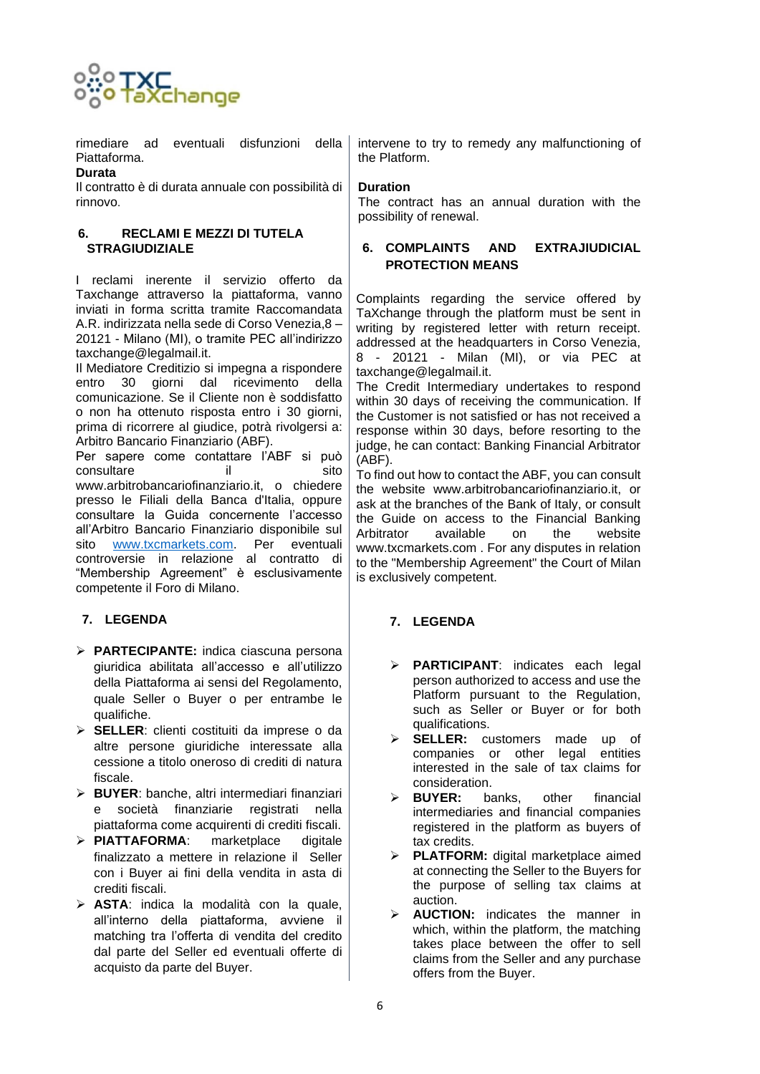

rimediare ad eventuali disfunzioni della Piattaforma.

## **Durata**

Il contratto è di durata annuale con possibilità di rinnovo.

## **6. RECLAMI E MEZZI DI TUTELA STRAGIUDIZIALE**

I reclami inerente il servizio offerto da Taxchange attraverso la piattaforma, vanno inviati in forma scritta tramite Raccomandata A.R. indirizzata nella sede di Corso Venezia,8 – 20121 - Milano (MI), o tramite PEC all'indirizzo [taxchange@legalmail.it.](mailto:taxchange@legalmail.it)

Il Mediatore Creditizio si impegna a rispondere entro 30 giorni dal ricevimento della comunicazione. Se il Cliente non è soddisfatto o non ha ottenuto risposta entro i 30 giorni, prima di ricorrere al giudice, potrà rivolgersi a: Arbitro Bancario Finanziario (ABF).

Per sapere come contattare l'ABF si può consultare il il sito www.arbitrobancariofinanziario.it, o chiedere presso le Filiali della Banca d'Italia, oppure consultare la Guida concernente l'accesso all'Arbitro Bancario Finanziario disponibile sul sito [www.txcmarkets.com.](http://www.txcmarkets.com/) Per eventuali controversie in relazione al contratto di "Membership Agreement" è esclusivamente competente il Foro di Milano.

# **7. LEGENDA**

- ➢ **PARTECIPANTE:** indica ciascuna persona giuridica abilitata all'accesso e all'utilizzo della Piattaforma ai sensi del Regolamento, quale Seller o Buyer o per entrambe le qualifiche.
- ➢ **SELLER**: clienti costituiti da imprese o da altre persone giuridiche interessate alla cessione a titolo oneroso di crediti di natura fiscale.
- ➢ **BUYER**: banche, altri intermediari finanziari e società finanziarie registrati nella piattaforma come acquirenti di crediti fiscali.
- ➢ **PIATTAFORMA**: marketplace digitale finalizzato a mettere in relazione il Seller con i Buyer ai fini della vendita in asta di crediti fiscali.
- ➢ **ASTA**: indica la modalità con la quale, all'interno della piattaforma, avviene il matching tra l'offerta di vendita del credito dal parte del Seller ed eventuali offerte di acquisto da parte del Buyer.

intervene to try to remedy any malfunctioning of the Platform.

## **Duration**

The contract has an annual duration with the possibility of renewal.

## **6. COMPLAINTS AND EXTRAJIUDICIAL PROTECTION MEANS**

Complaints regarding the service offered by TaXchange through the platform must be sent in writing by registered letter with return receipt. addressed at the headquarters in Corso Venezia, 8 - 20121 - Milan (MI), or via PEC at taxchange@legalmail.it.

The Credit Intermediary undertakes to respond within 30 days of receiving the communication. If the Customer is not satisfied or has not received a response within 30 days, before resorting to the judge, he can contact: Banking Financial Arbitrator (ABF).

To find out how to contact the ABF, you can consult the website www.arbitrobancariofinanziario.it, or ask at the branches of the Bank of Italy, or consult the Guide on access to the Financial Banking Arbitrator available on the website www.txcmarkets.com . For any disputes in relation to the "Membership Agreement" the Court of Milan is exclusively competent.

# **7. LEGENDA**

- ➢ **PARTICIPANT**: indicates each legal person authorized to access and use the Platform pursuant to the Regulation, such as Seller or Buyer or for both qualifications.
- SELLER: customers made up of companies or other legal entities interested in the sale of tax claims for consideration.
- ➢ **BUYER:** banks, other financial intermediaries and financial companies registered in the platform as buyers of tax credits.
- ➢ **PLATFORM:** digital marketplace aimed at connecting the Seller to the Buyers for the purpose of selling tax claims at auction.
- ➢ **AUCTION:** indicates the manner in which, within the platform, the matching takes place between the offer to sell claims from the Seller and any purchase offers from the Buyer.